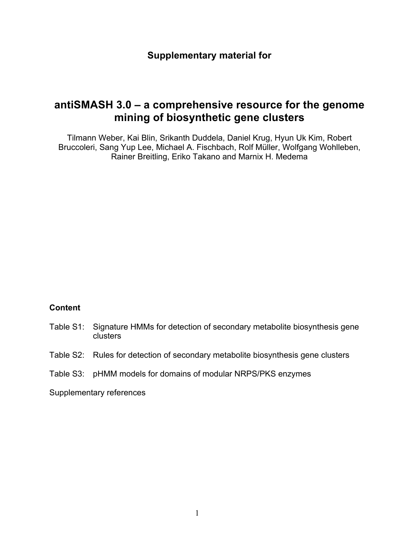## **Supplementary material for**

# **antiSMASH 3.0 – a comprehensive resource for the genome mining of biosynthetic gene clusters**

Tilmann Weber, Kai Blin, Srikanth Duddela, Daniel Krug, Hyun Uk Kim, Robert Bruccoleri, Sang Yup Lee, Michael A. Fischbach, Rolf Müller, Wolfgang Wohlleben, Rainer Breitling, Eriko Takano and Marnix H. Medema

#### **Content**

- Table S1: Signature HMMs for detection of secondary metabolite biosynthesis gene clusters
- Table S2: Rules for detection of secondary metabolite biosynthesis gene clusters
- Table S3: pHMM models for domains of modular NRPS/PKS enzymes

Supplementary references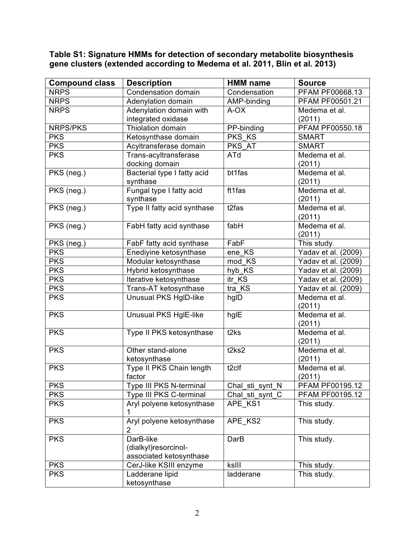| <b>Compound class</b> | <b>Description</b>           | <b>HMM</b> name   | <b>Source</b>          |
|-----------------------|------------------------------|-------------------|------------------------|
| <b>NRPS</b>           | Condensation domain          | Condensation      | <b>PFAM PF00668.13</b> |
| <b>NRPS</b>           | Adenylation domain           | AMP-binding       | PFAM PF00501.21        |
| <b>NRPS</b>           | Adenylation domain with      | A-OX              | Medema et al.          |
|                       | integrated oxidase           |                   | (2011)                 |
| NRPS/PKS              | Thiolation domain            | PP-binding        | PFAM PF00550.18        |
| <b>PKS</b>            | Ketosynthase domain          | PKS KS            | <b>SMART</b>           |
| <b>PKS</b>            | Acyltransferase domain       | PKS AT            | <b>SMART</b>           |
| <b>PKS</b>            | Trans-acyltransferase        | ATd               | Medema et al.          |
|                       | docking domain               |                   | (2011)                 |
| PKS (neg.)            | Bacterial type I fatty acid  | bt1fas            | Medema et al.          |
|                       | synthase                     |                   | (2011)                 |
| PKS (neg.)            | Fungal type I fatty acid     | ft1fas            | Medema et al.          |
|                       | synthase                     |                   | (2011)                 |
| PKS (neg.)            | Type II fatty acid synthase  | t2fas             | Medema et al.          |
|                       |                              |                   | (2011)                 |
| PKS (neg.)            | FabH fatty acid synthase     | fabH              | Medema et al.          |
|                       |                              |                   | (2011)                 |
| PKS (neg.)            | FabF fatty acid synthase     | FabF              | This study.            |
| <b>PKS</b>            | Enediyine ketosynthase       | ene KS            | Yadav et al. (2009)    |
| <b>PKS</b>            | Modular ketosynthase         | mod KS            | Yadav et al. (2009)    |
| <b>PKS</b>            | Hybrid ketosynthase          | hyb_KS            | Yadav et al. (2009)    |
| <b>PKS</b>            | Iterative ketosynthase       | itr KS            | Yadav et al. (2009)    |
| <b>PKS</b>            | Trans-AT ketosynthase        | tra KS            | Yadav et al. (2009)    |
| <b>PKS</b>            | Unusual PKS HgID-like        | hgID              | Medema et al.          |
|                       |                              |                   | (2011)                 |
| <b>PKS</b>            | <b>Unusual PKS HgIE-like</b> | hglE              | Medema et al.          |
|                       |                              |                   | (2011)                 |
| <b>PKS</b>            | Type II PKS ketosynthase     | t <sub>2</sub> ks | Medema et al.          |
|                       |                              |                   | (2011)                 |
| <b>PKS</b>            | Other stand-alone            | t2ks2             | Medema et al.          |
|                       | ketosynthase                 |                   | (2011)                 |
| <b>PKS</b>            | Type II PKS Chain length     | t <sub>2clf</sub> | Medema et al.          |
|                       | factor                       |                   | (2011)                 |
| <b>PKS</b>            | Type III PKS N-terminal      | Chal_sti_synt_N   | <b>PFAM PF00195.12</b> |
| <b>PKS</b>            | Type III PKS C-terminal      | Chal_sti_synt_C   | PFAM PF00195.12        |
| <b>PKS</b>            | Aryl polyene ketosynthase    | APE KS1           | This study.            |
|                       | 1                            |                   |                        |
| <b>PKS</b>            | Aryl polyene ketosynthase    | APE KS2           | This study.            |
|                       | 2                            |                   |                        |
| <b>PKS</b>            | DarB-like                    | DarB              | This study.            |
|                       | (dialkyl)resorcinol-         |                   |                        |
|                       | associated ketosynthase      |                   |                        |
| <b>PKS</b>            | CerJ-like KSIII enzyme       | ksIII             | This study.            |
| <b>PKS</b>            | Ladderane lipid              | ladderane         | This study.            |
|                       | ketosynthase                 |                   |                        |

**Table S1: Signature HMMs for detection of secondary metabolite biosynthesis gene clusters (extended according to Medema et al. 2011, Blin et al. 2013)**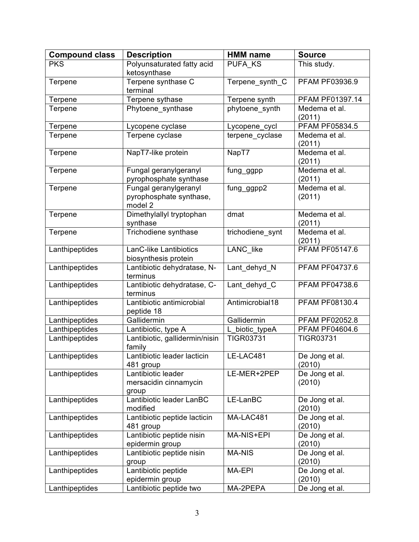| <b>Compound class</b> | <b>Description</b>                         | <b>HMM</b> name  | <b>Source</b>           |
|-----------------------|--------------------------------------------|------------------|-------------------------|
| <b>PKS</b>            | Polyunsaturated fatty acid                 | PUFA KS          | This study.             |
|                       | ketosynthase                               |                  |                         |
| Terpene               | Terpene synthase C                         | Terpene_synth_C  | PFAM PF03936.9          |
|                       | terminal                                   |                  |                         |
| Terpene               | Terpene sythase                            | Terpene synth    | PFAM PF01397.14         |
| Terpene               | Phytoene synthase                          | phytoene synth   | Medema et al.           |
|                       |                                            |                  | (2011)                  |
| Terpene               | Lycopene cyclase                           | Lycopene_cycl    | PFAM PF05834.5          |
| Terpene               | Terpene cyclase                            | terpene_cyclase  | Medema et al.           |
| Terpene               | NapT7-like protein                         | NapT7            | (2011)<br>Medema et al. |
|                       |                                            |                  | (2011)                  |
| Terpene               | Fungal geranylgeranyl                      | fung_ggpp        | Medema et al.           |
|                       | pyrophosphate synthase                     |                  | (2011)                  |
| Terpene               | Fungal geranylgeranyl                      | fung_ggpp2       | Medema et al.           |
|                       | pyrophosphate synthase,                    |                  | (2011)                  |
|                       | model 2                                    |                  |                         |
| Terpene               | Dimethylallyl tryptophan                   | dmat             | Medema et al.           |
|                       | synthase                                   |                  | (2011)                  |
| Terpene               | Trichodiene synthase                       | trichodiene synt | Medema et al.           |
|                       |                                            |                  | (2011)                  |
| Lanthipeptides        | LanC-like Lantibiotics                     | LANC_like        | <b>PFAM PF05147.6</b>   |
|                       | biosynthesis protein                       |                  |                         |
| Lanthipeptides        | Lantibiotic dehydratase, N-                | Lant dehyd N     | PFAM PF04737.6          |
|                       | terminus                                   |                  |                         |
| Lanthipeptides        | Lantibiotic dehydratase, C-                | Lant_dehyd C     | <b>PFAM PF04738.6</b>   |
|                       | terminus                                   |                  |                         |
| Lanthipeptides        | Lantibiotic antimicrobial                  | Antimicrobial18  | PFAM PF08130.4          |
| Lanthipeptides        | peptide 18<br>Gallidermin                  | Gallidermin      | PFAM PF02052.8          |
| Lanthipeptides        | Lantibiotic, type A                        | L_biotic_typeA   | PFAM PF04604.6          |
| Lanthipeptides        | Lantibiotic, gallidermin/nisin             | <b>TIGR03731</b> | <b>TIGR03731</b>        |
|                       | family                                     |                  |                         |
| Lanthipeptides        | Lantibiotic leader lacticin                | LE-LAC481        | De Jong et al.          |
|                       | 481 group                                  |                  | (2010)                  |
| Lanthipeptides        | Lantibiotic leader                         | LE-MER+2PEP      | De Jong et al.          |
|                       | mersacidin cinnamycin                      |                  | (2010)                  |
|                       | group                                      |                  |                         |
| Lanthipeptides        | Lantibiotic leader LanBC                   | LE-LanBC         | De Jong et al.          |
|                       | modified                                   |                  | (2010)                  |
| Lanthipeptides        | Lantibiotic peptide lacticin               | MA-LAC481        | De Jong et al.          |
|                       | 481 group                                  |                  | (2010)                  |
| Lanthipeptides        | Lantibiotic peptide nisin                  | MA-NIS+EPI       | De Jong et al.          |
|                       | epidermin group                            |                  | (2010)                  |
| Lanthipeptides        | Lantibiotic peptide nisin                  | <b>MA-NIS</b>    | De Jong et al.          |
|                       | group                                      |                  | (2010)                  |
| Lanthipeptides        | Lantibiotic peptide                        | MA-EPI           | De Jong et al.          |
|                       | epidermin group<br>Lantibiotic peptide two | MA-2PEPA         | (2010)                  |
| Lanthipeptides        |                                            |                  | De Jong et al.          |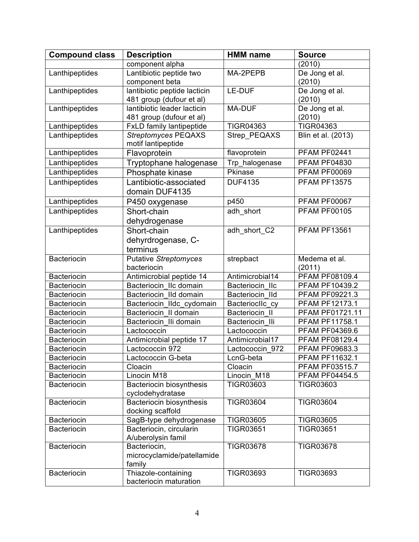| <b>Compound class</b> | <b>Description</b>              | <b>HMM</b> name  | <b>Source</b>         |
|-----------------------|---------------------------------|------------------|-----------------------|
|                       | component alpha                 |                  | (2010)                |
| Lanthipeptides        | Lantibiotic peptide two         | MA-2PEPB         | De Jong et al.        |
|                       | component beta                  |                  | (2010)                |
| Lanthipeptides        | lantibiotic peptide lacticin    | LE-DUF           | De Jong et al.        |
|                       | 481 group (dufour et al)        |                  | (2010)                |
| Lanthipeptides        | lantibiotic leader lacticin     | MA-DUF           | De Jong et al.        |
|                       | 481 group (dufour et al)        |                  | (2010)                |
| Lanthipeptides        | <b>FxLD family lantipeptide</b> | <b>TIGR04363</b> | <b>TIGR04363</b>      |
| Lanthipeptides        | <b>Streptomyces PEQAXS</b>      | Strep_PEQAXS     | Blin et al. (2013)    |
|                       | motif lantipeptide              |                  |                       |
| Lanthipeptides        | Flavoprotein                    | flavoprotein     | PFAM PF02441          |
| Lanthipeptides        | Tryptophane halogenase          | Trp_halogenase   | <b>PFAM PF04830</b>   |
| Lanthipeptides        | Phosphate kinase                | Pkinase          | <b>PFAM PF00069</b>   |
| Lanthipeptides        | Lantibiotic-associated          | <b>DUF4135</b>   | <b>PFAM PF13575</b>   |
|                       | domain DUF4135                  |                  |                       |
| Lanthipeptides        | P450 oxygenase                  | p450             | <b>PFAM PF00067</b>   |
| Lanthipeptides        | Short-chain                     | adh short        | <b>PFAM PF00105</b>   |
|                       | dehydrogenase                   |                  |                       |
| Lanthipeptides        | Short-chain                     | adh_short_C2     | <b>PFAM PF13561</b>   |
|                       | dehyrdrogenase, C-              |                  |                       |
|                       | terminus                        |                  |                       |
| <b>Bacteriocin</b>    | <b>Putative Streptomyces</b>    | strepbact        | Medema et al.         |
|                       | bacteriocin                     |                  | (2011)                |
| <b>Bacteriocin</b>    | Antimicrobial peptide 14        | Antimicrobial14  | <b>PFAM PF08109.4</b> |
| <b>Bacteriocin</b>    | Bacteriocin IIc domain          | Bacteriocin IIc  | PFAM PF10439.2        |
| <b>Bacteriocin</b>    | Bacteriocin IId domain          | Bacteriocin IId  | PFAM PF09221.3        |
| <b>Bacteriocin</b>    | Bacteriocin_Ildc_cydomain       | BacterioclIc cy  | PFAM PF12173.1        |
| <b>Bacteriocin</b>    | Bacteriocin II domain           | Bacteriocin II   | PFAM PF01721.11       |
| Bacteriocin           | Bacteriocin Ili domain          | Bacteriocin Ili  | <b>PFAM PF11758.1</b> |
| <b>Bacteriocin</b>    | Lactococcin                     | Lactococcin      | PFAM PF04369.6        |
| <b>Bacteriocin</b>    | Antimicrobial peptide 17        | Antimicrobial17  | PFAM PF08129.4        |
| <b>Bacteriocin</b>    | Lactococcin 972                 | Lactococcin 972  | PFAM PF09683.3        |
| <b>Bacteriocin</b>    | Lactococcin G-beta              | LcnG-beta        | PFAM PF11632.1        |
| <b>Bacteriocin</b>    | Cloacin                         | Cloacin          | <b>PFAM PF03515.7</b> |
| <b>Bacteriocin</b>    | Linocin M18                     | Linocin M18      | <b>PFAM PF04454.5</b> |
| <b>Bacteriocin</b>    | Bacteriocin biosynthesis        | <b>TIGR03603</b> | <b>TIGR03603</b>      |
|                       | cyclodehydratase                |                  |                       |
| Bacteriocin           | <b>Bacteriocin biosynthesis</b> | <b>TIGR03604</b> | <b>TIGR03604</b>      |
|                       | docking scaffold                |                  |                       |
| <b>Bacteriocin</b>    | SagB-type dehydrogenase         | <b>TIGR03605</b> | <b>TIGR03605</b>      |
| <b>Bacteriocin</b>    | Bacteriocin, circularin         | <b>TIGR03651</b> | <b>TIGR03651</b>      |
|                       | A/uberolysin famil              |                  |                       |
| <b>Bacteriocin</b>    | Bacteriocin,                    | <b>TIGR03678</b> | <b>TIGR03678</b>      |
|                       | microcyclamide/patellamide      |                  |                       |
|                       | family                          |                  |                       |
| <b>Bacteriocin</b>    | Thiazole-containing             | <b>TIGR03693</b> | <b>TIGR03693</b>      |
|                       | bacteriocin maturation          |                  |                       |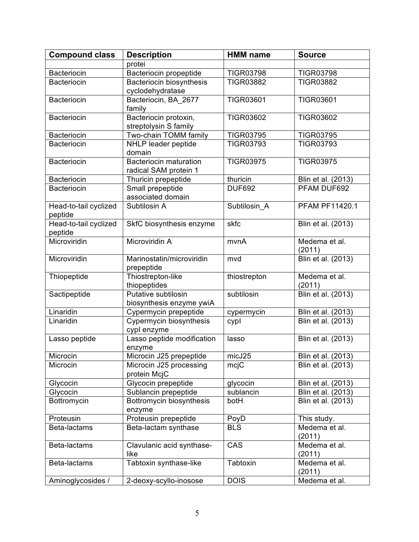| <b>Compound class</b> | <b>Description</b>                                | <b>HMM</b> name    | <b>Source</b>         |
|-----------------------|---------------------------------------------------|--------------------|-----------------------|
|                       | protei                                            |                    |                       |
| <b>Bacteriocin</b>    | Bacteriocin propeptide                            | <b>TIGR03798</b>   | <b>TIGR03798</b>      |
| <b>Bacteriocin</b>    | Bacteriocin biosynthesis                          | <b>TIGR03882</b>   | <b>TIGR03882</b>      |
|                       | cyclodehydratase                                  |                    |                       |
| <b>Bacteriocin</b>    | Bacteriocin, BA 2677                              | <b>TIGR03601</b>   | <b>TIGR03601</b>      |
|                       | family                                            |                    |                       |
| <b>Bacteriocin</b>    | Bacteriocin protoxin,                             | <b>TIGR03602</b>   | <b>TIGR03602</b>      |
|                       | streptolysin S family                             |                    |                       |
| <b>Bacteriocin</b>    | Two-chain TOMM family                             | <b>TIGR03795</b>   | <b>TIGR03795</b>      |
| <b>Bacteriocin</b>    | NHLP leader peptide                               | <b>TIGR03793</b>   | <b>TIGR03793</b>      |
|                       | domain                                            |                    |                       |
| <b>Bacteriocin</b>    | <b>Bacteriocin maturation</b>                     | <b>TIGR03975</b>   | <b>TIGR03975</b>      |
|                       | radical SAM protein 1                             |                    |                       |
| <b>Bacteriocin</b>    | Thuricin prepeptide                               | thuricin           | Blin et al. (2013)    |
| <b>Bacteriocin</b>    | Small prepeptide                                  | <b>DUF692</b>      | PFAM DUF692           |
|                       | associated domain                                 |                    |                       |
| Head-to-tail cyclized | Subtilosin A                                      | Subtilosin_A       | <b>PFAM PF11420.1</b> |
| peptide               |                                                   |                    |                       |
| Head-to-tail cyclized | SkfC biosynthesis enzyme                          | skfc               | Blin et al. (2013)    |
| peptide               |                                                   |                    |                       |
| Microviridin          | Microviridin A                                    | mvnA               | Medema et al.         |
|                       |                                                   |                    | (2011)                |
| Microviridin          | Marinostatin/microviridin                         | mvd                | Blin et al. (2013)    |
|                       | prepeptide                                        |                    |                       |
| Thiopeptide           | Thiostrepton-like                                 | thiostrepton       | Medema et al.         |
|                       | thiopeptides<br>Putative subtilosin               | subtilosin         | (2011)                |
| Sactipeptide          |                                                   |                    | Blin et al. (2013)    |
| Linaridin             | biosynthesis enzyme ywiA<br>Cypermycin prepeptide |                    | Blin et al. (2013)    |
| Linaridin             | Cypermycin biosynthesis                           | cypermycin<br>cypl | Blin et al. (2013)    |
|                       | cypl enzyme                                       |                    |                       |
| Lasso peptide         | Lasso peptide modification                        | lasso              | Blin et al. (2013)    |
|                       | enzyme                                            |                    |                       |
| Microcin              | Microcin J25 prepeptide                           | micJ25             | Blin et al. (2013)    |
| Microcin              | Microcin J25 processing                           | mcjC               | Blin et al. (2013)    |
|                       | protein McjC                                      |                    |                       |
| Glycocin              | Glycocin prepeptide                               | glycocin           | Blin et al. (2013)    |
| Glycocin              | Sublancin prepeptide                              | sublancin          | Blin et al. (2013)    |
| Bottromycin           | Bottromycin biosynthesis                          | botH               | Blin et al. (2013)    |
|                       | enzyme                                            |                    |                       |
| Proteusin             | Proteusin prepeptide                              | PoyD               | This study.           |
| Beta-lactams          | Beta-lactam synthase                              | <b>BLS</b>         | Medema et al.         |
|                       |                                                   |                    | (2011)                |
| Beta-lactams          | Clavulanic acid synthase-                         | CAS                | Medema et al.         |
|                       | like                                              |                    | (2011)                |
| Beta-lactams          | Tabtoxin synthase-like                            | Tabtoxin           | Medema et al.         |
|                       |                                                   |                    | (2011)                |
| Aminoglycosides /     | 2-deoxy-scyllo-inosose                            | <b>DOIS</b>        | Medema et al.         |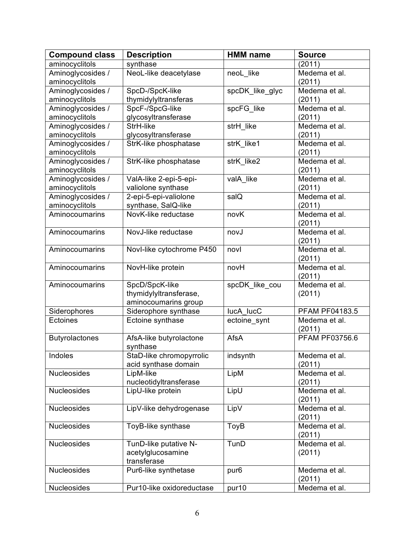| aminocyclitols<br>synthase<br>(2011)<br>NeoL-like deacetylase<br>Aminoglycosides /<br>neoL like<br>Medema et al.<br>aminocyclitols<br>(2011)<br>Aminoglycosides /<br>SpcD-/SpcK-like<br>spcDK like glyc<br>Medema et al.<br>aminocyclitols<br>thymidylyltransferas<br>(2011)<br>Aminoglycosides /<br>SpcF-/SpcG-like<br>spcFG_like<br>Medema et al.<br>aminocyclitols<br>glycosyltransferase<br>(2011)<br>strH_like<br>Aminoglycosides /<br>StrH-like<br>Medema et al.<br>aminocyclitols<br>glycosyltransferase<br>(2011)<br>strK like1<br>Medema et al.<br>Aminoglycosides /<br>StrK-like phosphatase<br>aminocyclitols<br>(2011)<br>Medema et al.<br>Aminoglycosides /<br>StrK-like phosphatase<br>strK like2<br>aminocyclitols<br>(2011)<br>Aminoglycosides /<br>ValA-like 2-epi-5-epi-<br>valA like<br>Medema et al.<br>aminocyclitols<br>valiolone synthase<br>(2011)<br>Aminoglycosides /<br>2-epi-5-epi-valiolone<br>salQ<br>Medema et al.<br>aminocyclitols<br>synthase, SalQ-like<br>(2011)<br>NovK-like reductase<br>novK<br>Medema et al.<br>Aminocoumarins<br>(2011)<br>Aminocoumarins<br>NovJ-like reductase<br>Medema et al.<br>novJ<br>(2011)<br>Medema et al.<br>Novl-like cytochrome P450<br>Aminocoumarins<br>novl<br>(2011)<br>NovH-like protein<br>Medema et al.<br>Aminocoumarins<br>novH<br>(2011)<br>SpcD/SpcK-like<br>spcDK_like_cou<br>Medema et al.<br>Aminocoumarins<br>thymidylyltransferase,<br>(2011)<br>aminocoumarins group<br>Siderophores<br>Siderophore synthase<br>lucA lucC<br>PFAM PF04183.5<br>Ectoine synthase<br>Ectoines<br>Medema et al.<br>ectoine_synt<br>(2011)<br>PFAM PF03756.6<br>AfsA<br><b>Butyrolactones</b><br>AfsA-like butyrolactone<br>synthase<br>StaD-like chromopyrrolic<br>indsynth<br>Indoles<br>Medema et al.<br>acid synthase domain<br>(2011)<br><b>Nucleosides</b><br>LipM<br>LipM-like<br>Medema et al.<br>nucleotidyltransferase<br>(2011)<br>LipU<br>Medema et al.<br><b>Nucleosides</b><br>LipU-like protein<br>(2011)<br>LipV-like dehydrogenase<br>LipV<br><b>Nucleosides</b><br>Medema et al.<br>(2011)<br>ToyB-like synthase<br>Nucleosides<br>ToyB<br>Medema et al.<br>(2011)<br>TunD<br>Medema et al.<br>Nucleosides<br>TunD-like putative N-<br>acetylglucosamine<br>(2011)<br>transferase<br>Pur6-like synthetase<br><b>Nucleosides</b><br>pur <sub>6</sub><br>Medema et al.<br>(2011) | <b>Compound class</b> | <b>Description</b>        | <b>HMM</b> name | <b>Source</b> |
|---------------------------------------------------------------------------------------------------------------------------------------------------------------------------------------------------------------------------------------------------------------------------------------------------------------------------------------------------------------------------------------------------------------------------------------------------------------------------------------------------------------------------------------------------------------------------------------------------------------------------------------------------------------------------------------------------------------------------------------------------------------------------------------------------------------------------------------------------------------------------------------------------------------------------------------------------------------------------------------------------------------------------------------------------------------------------------------------------------------------------------------------------------------------------------------------------------------------------------------------------------------------------------------------------------------------------------------------------------------------------------------------------------------------------------------------------------------------------------------------------------------------------------------------------------------------------------------------------------------------------------------------------------------------------------------------------------------------------------------------------------------------------------------------------------------------------------------------------------------------------------------------------------------------------------------------------------------------------------------------------------------------------------------------------------------------------------------------------------------------------------------------------------------------------------------------------------------------------------------------------------------------------------------------------------------------------------------------------------------------|-----------------------|---------------------------|-----------------|---------------|
|                                                                                                                                                                                                                                                                                                                                                                                                                                                                                                                                                                                                                                                                                                                                                                                                                                                                                                                                                                                                                                                                                                                                                                                                                                                                                                                                                                                                                                                                                                                                                                                                                                                                                                                                                                                                                                                                                                                                                                                                                                                                                                                                                                                                                                                                                                                                                                     |                       |                           |                 |               |
|                                                                                                                                                                                                                                                                                                                                                                                                                                                                                                                                                                                                                                                                                                                                                                                                                                                                                                                                                                                                                                                                                                                                                                                                                                                                                                                                                                                                                                                                                                                                                                                                                                                                                                                                                                                                                                                                                                                                                                                                                                                                                                                                                                                                                                                                                                                                                                     |                       |                           |                 |               |
|                                                                                                                                                                                                                                                                                                                                                                                                                                                                                                                                                                                                                                                                                                                                                                                                                                                                                                                                                                                                                                                                                                                                                                                                                                                                                                                                                                                                                                                                                                                                                                                                                                                                                                                                                                                                                                                                                                                                                                                                                                                                                                                                                                                                                                                                                                                                                                     |                       |                           |                 |               |
|                                                                                                                                                                                                                                                                                                                                                                                                                                                                                                                                                                                                                                                                                                                                                                                                                                                                                                                                                                                                                                                                                                                                                                                                                                                                                                                                                                                                                                                                                                                                                                                                                                                                                                                                                                                                                                                                                                                                                                                                                                                                                                                                                                                                                                                                                                                                                                     |                       |                           |                 |               |
|                                                                                                                                                                                                                                                                                                                                                                                                                                                                                                                                                                                                                                                                                                                                                                                                                                                                                                                                                                                                                                                                                                                                                                                                                                                                                                                                                                                                                                                                                                                                                                                                                                                                                                                                                                                                                                                                                                                                                                                                                                                                                                                                                                                                                                                                                                                                                                     |                       |                           |                 |               |
|                                                                                                                                                                                                                                                                                                                                                                                                                                                                                                                                                                                                                                                                                                                                                                                                                                                                                                                                                                                                                                                                                                                                                                                                                                                                                                                                                                                                                                                                                                                                                                                                                                                                                                                                                                                                                                                                                                                                                                                                                                                                                                                                                                                                                                                                                                                                                                     |                       |                           |                 |               |
|                                                                                                                                                                                                                                                                                                                                                                                                                                                                                                                                                                                                                                                                                                                                                                                                                                                                                                                                                                                                                                                                                                                                                                                                                                                                                                                                                                                                                                                                                                                                                                                                                                                                                                                                                                                                                                                                                                                                                                                                                                                                                                                                                                                                                                                                                                                                                                     |                       |                           |                 |               |
|                                                                                                                                                                                                                                                                                                                                                                                                                                                                                                                                                                                                                                                                                                                                                                                                                                                                                                                                                                                                                                                                                                                                                                                                                                                                                                                                                                                                                                                                                                                                                                                                                                                                                                                                                                                                                                                                                                                                                                                                                                                                                                                                                                                                                                                                                                                                                                     |                       |                           |                 |               |
|                                                                                                                                                                                                                                                                                                                                                                                                                                                                                                                                                                                                                                                                                                                                                                                                                                                                                                                                                                                                                                                                                                                                                                                                                                                                                                                                                                                                                                                                                                                                                                                                                                                                                                                                                                                                                                                                                                                                                                                                                                                                                                                                                                                                                                                                                                                                                                     |                       |                           |                 |               |
|                                                                                                                                                                                                                                                                                                                                                                                                                                                                                                                                                                                                                                                                                                                                                                                                                                                                                                                                                                                                                                                                                                                                                                                                                                                                                                                                                                                                                                                                                                                                                                                                                                                                                                                                                                                                                                                                                                                                                                                                                                                                                                                                                                                                                                                                                                                                                                     |                       |                           |                 |               |
|                                                                                                                                                                                                                                                                                                                                                                                                                                                                                                                                                                                                                                                                                                                                                                                                                                                                                                                                                                                                                                                                                                                                                                                                                                                                                                                                                                                                                                                                                                                                                                                                                                                                                                                                                                                                                                                                                                                                                                                                                                                                                                                                                                                                                                                                                                                                                                     |                       |                           |                 |               |
|                                                                                                                                                                                                                                                                                                                                                                                                                                                                                                                                                                                                                                                                                                                                                                                                                                                                                                                                                                                                                                                                                                                                                                                                                                                                                                                                                                                                                                                                                                                                                                                                                                                                                                                                                                                                                                                                                                                                                                                                                                                                                                                                                                                                                                                                                                                                                                     |                       |                           |                 |               |
|                                                                                                                                                                                                                                                                                                                                                                                                                                                                                                                                                                                                                                                                                                                                                                                                                                                                                                                                                                                                                                                                                                                                                                                                                                                                                                                                                                                                                                                                                                                                                                                                                                                                                                                                                                                                                                                                                                                                                                                                                                                                                                                                                                                                                                                                                                                                                                     |                       |                           |                 |               |
|                                                                                                                                                                                                                                                                                                                                                                                                                                                                                                                                                                                                                                                                                                                                                                                                                                                                                                                                                                                                                                                                                                                                                                                                                                                                                                                                                                                                                                                                                                                                                                                                                                                                                                                                                                                                                                                                                                                                                                                                                                                                                                                                                                                                                                                                                                                                                                     |                       |                           |                 |               |
|                                                                                                                                                                                                                                                                                                                                                                                                                                                                                                                                                                                                                                                                                                                                                                                                                                                                                                                                                                                                                                                                                                                                                                                                                                                                                                                                                                                                                                                                                                                                                                                                                                                                                                                                                                                                                                                                                                                                                                                                                                                                                                                                                                                                                                                                                                                                                                     |                       |                           |                 |               |
|                                                                                                                                                                                                                                                                                                                                                                                                                                                                                                                                                                                                                                                                                                                                                                                                                                                                                                                                                                                                                                                                                                                                                                                                                                                                                                                                                                                                                                                                                                                                                                                                                                                                                                                                                                                                                                                                                                                                                                                                                                                                                                                                                                                                                                                                                                                                                                     |                       |                           |                 |               |
|                                                                                                                                                                                                                                                                                                                                                                                                                                                                                                                                                                                                                                                                                                                                                                                                                                                                                                                                                                                                                                                                                                                                                                                                                                                                                                                                                                                                                                                                                                                                                                                                                                                                                                                                                                                                                                                                                                                                                                                                                                                                                                                                                                                                                                                                                                                                                                     |                       |                           |                 |               |
|                                                                                                                                                                                                                                                                                                                                                                                                                                                                                                                                                                                                                                                                                                                                                                                                                                                                                                                                                                                                                                                                                                                                                                                                                                                                                                                                                                                                                                                                                                                                                                                                                                                                                                                                                                                                                                                                                                                                                                                                                                                                                                                                                                                                                                                                                                                                                                     |                       |                           |                 |               |
|                                                                                                                                                                                                                                                                                                                                                                                                                                                                                                                                                                                                                                                                                                                                                                                                                                                                                                                                                                                                                                                                                                                                                                                                                                                                                                                                                                                                                                                                                                                                                                                                                                                                                                                                                                                                                                                                                                                                                                                                                                                                                                                                                                                                                                                                                                                                                                     |                       |                           |                 |               |
|                                                                                                                                                                                                                                                                                                                                                                                                                                                                                                                                                                                                                                                                                                                                                                                                                                                                                                                                                                                                                                                                                                                                                                                                                                                                                                                                                                                                                                                                                                                                                                                                                                                                                                                                                                                                                                                                                                                                                                                                                                                                                                                                                                                                                                                                                                                                                                     |                       |                           |                 |               |
|                                                                                                                                                                                                                                                                                                                                                                                                                                                                                                                                                                                                                                                                                                                                                                                                                                                                                                                                                                                                                                                                                                                                                                                                                                                                                                                                                                                                                                                                                                                                                                                                                                                                                                                                                                                                                                                                                                                                                                                                                                                                                                                                                                                                                                                                                                                                                                     |                       |                           |                 |               |
|                                                                                                                                                                                                                                                                                                                                                                                                                                                                                                                                                                                                                                                                                                                                                                                                                                                                                                                                                                                                                                                                                                                                                                                                                                                                                                                                                                                                                                                                                                                                                                                                                                                                                                                                                                                                                                                                                                                                                                                                                                                                                                                                                                                                                                                                                                                                                                     |                       |                           |                 |               |
|                                                                                                                                                                                                                                                                                                                                                                                                                                                                                                                                                                                                                                                                                                                                                                                                                                                                                                                                                                                                                                                                                                                                                                                                                                                                                                                                                                                                                                                                                                                                                                                                                                                                                                                                                                                                                                                                                                                                                                                                                                                                                                                                                                                                                                                                                                                                                                     |                       |                           |                 |               |
|                                                                                                                                                                                                                                                                                                                                                                                                                                                                                                                                                                                                                                                                                                                                                                                                                                                                                                                                                                                                                                                                                                                                                                                                                                                                                                                                                                                                                                                                                                                                                                                                                                                                                                                                                                                                                                                                                                                                                                                                                                                                                                                                                                                                                                                                                                                                                                     |                       |                           |                 |               |
|                                                                                                                                                                                                                                                                                                                                                                                                                                                                                                                                                                                                                                                                                                                                                                                                                                                                                                                                                                                                                                                                                                                                                                                                                                                                                                                                                                                                                                                                                                                                                                                                                                                                                                                                                                                                                                                                                                                                                                                                                                                                                                                                                                                                                                                                                                                                                                     |                       |                           |                 |               |
|                                                                                                                                                                                                                                                                                                                                                                                                                                                                                                                                                                                                                                                                                                                                                                                                                                                                                                                                                                                                                                                                                                                                                                                                                                                                                                                                                                                                                                                                                                                                                                                                                                                                                                                                                                                                                                                                                                                                                                                                                                                                                                                                                                                                                                                                                                                                                                     |                       |                           |                 |               |
|                                                                                                                                                                                                                                                                                                                                                                                                                                                                                                                                                                                                                                                                                                                                                                                                                                                                                                                                                                                                                                                                                                                                                                                                                                                                                                                                                                                                                                                                                                                                                                                                                                                                                                                                                                                                                                                                                                                                                                                                                                                                                                                                                                                                                                                                                                                                                                     |                       |                           |                 |               |
|                                                                                                                                                                                                                                                                                                                                                                                                                                                                                                                                                                                                                                                                                                                                                                                                                                                                                                                                                                                                                                                                                                                                                                                                                                                                                                                                                                                                                                                                                                                                                                                                                                                                                                                                                                                                                                                                                                                                                                                                                                                                                                                                                                                                                                                                                                                                                                     |                       |                           |                 |               |
|                                                                                                                                                                                                                                                                                                                                                                                                                                                                                                                                                                                                                                                                                                                                                                                                                                                                                                                                                                                                                                                                                                                                                                                                                                                                                                                                                                                                                                                                                                                                                                                                                                                                                                                                                                                                                                                                                                                                                                                                                                                                                                                                                                                                                                                                                                                                                                     |                       |                           |                 |               |
|                                                                                                                                                                                                                                                                                                                                                                                                                                                                                                                                                                                                                                                                                                                                                                                                                                                                                                                                                                                                                                                                                                                                                                                                                                                                                                                                                                                                                                                                                                                                                                                                                                                                                                                                                                                                                                                                                                                                                                                                                                                                                                                                                                                                                                                                                                                                                                     |                       |                           |                 |               |
|                                                                                                                                                                                                                                                                                                                                                                                                                                                                                                                                                                                                                                                                                                                                                                                                                                                                                                                                                                                                                                                                                                                                                                                                                                                                                                                                                                                                                                                                                                                                                                                                                                                                                                                                                                                                                                                                                                                                                                                                                                                                                                                                                                                                                                                                                                                                                                     |                       |                           |                 |               |
|                                                                                                                                                                                                                                                                                                                                                                                                                                                                                                                                                                                                                                                                                                                                                                                                                                                                                                                                                                                                                                                                                                                                                                                                                                                                                                                                                                                                                                                                                                                                                                                                                                                                                                                                                                                                                                                                                                                                                                                                                                                                                                                                                                                                                                                                                                                                                                     |                       |                           |                 |               |
|                                                                                                                                                                                                                                                                                                                                                                                                                                                                                                                                                                                                                                                                                                                                                                                                                                                                                                                                                                                                                                                                                                                                                                                                                                                                                                                                                                                                                                                                                                                                                                                                                                                                                                                                                                                                                                                                                                                                                                                                                                                                                                                                                                                                                                                                                                                                                                     |                       |                           |                 |               |
|                                                                                                                                                                                                                                                                                                                                                                                                                                                                                                                                                                                                                                                                                                                                                                                                                                                                                                                                                                                                                                                                                                                                                                                                                                                                                                                                                                                                                                                                                                                                                                                                                                                                                                                                                                                                                                                                                                                                                                                                                                                                                                                                                                                                                                                                                                                                                                     |                       |                           |                 |               |
|                                                                                                                                                                                                                                                                                                                                                                                                                                                                                                                                                                                                                                                                                                                                                                                                                                                                                                                                                                                                                                                                                                                                                                                                                                                                                                                                                                                                                                                                                                                                                                                                                                                                                                                                                                                                                                                                                                                                                                                                                                                                                                                                                                                                                                                                                                                                                                     |                       |                           |                 |               |
|                                                                                                                                                                                                                                                                                                                                                                                                                                                                                                                                                                                                                                                                                                                                                                                                                                                                                                                                                                                                                                                                                                                                                                                                                                                                                                                                                                                                                                                                                                                                                                                                                                                                                                                                                                                                                                                                                                                                                                                                                                                                                                                                                                                                                                                                                                                                                                     |                       |                           |                 |               |
|                                                                                                                                                                                                                                                                                                                                                                                                                                                                                                                                                                                                                                                                                                                                                                                                                                                                                                                                                                                                                                                                                                                                                                                                                                                                                                                                                                                                                                                                                                                                                                                                                                                                                                                                                                                                                                                                                                                                                                                                                                                                                                                                                                                                                                                                                                                                                                     |                       |                           |                 |               |
|                                                                                                                                                                                                                                                                                                                                                                                                                                                                                                                                                                                                                                                                                                                                                                                                                                                                                                                                                                                                                                                                                                                                                                                                                                                                                                                                                                                                                                                                                                                                                                                                                                                                                                                                                                                                                                                                                                                                                                                                                                                                                                                                                                                                                                                                                                                                                                     |                       |                           |                 |               |
|                                                                                                                                                                                                                                                                                                                                                                                                                                                                                                                                                                                                                                                                                                                                                                                                                                                                                                                                                                                                                                                                                                                                                                                                                                                                                                                                                                                                                                                                                                                                                                                                                                                                                                                                                                                                                                                                                                                                                                                                                                                                                                                                                                                                                                                                                                                                                                     |                       |                           |                 |               |
|                                                                                                                                                                                                                                                                                                                                                                                                                                                                                                                                                                                                                                                                                                                                                                                                                                                                                                                                                                                                                                                                                                                                                                                                                                                                                                                                                                                                                                                                                                                                                                                                                                                                                                                                                                                                                                                                                                                                                                                                                                                                                                                                                                                                                                                                                                                                                                     |                       |                           |                 |               |
|                                                                                                                                                                                                                                                                                                                                                                                                                                                                                                                                                                                                                                                                                                                                                                                                                                                                                                                                                                                                                                                                                                                                                                                                                                                                                                                                                                                                                                                                                                                                                                                                                                                                                                                                                                                                                                                                                                                                                                                                                                                                                                                                                                                                                                                                                                                                                                     |                       |                           |                 |               |
|                                                                                                                                                                                                                                                                                                                                                                                                                                                                                                                                                                                                                                                                                                                                                                                                                                                                                                                                                                                                                                                                                                                                                                                                                                                                                                                                                                                                                                                                                                                                                                                                                                                                                                                                                                                                                                                                                                                                                                                                                                                                                                                                                                                                                                                                                                                                                                     |                       |                           |                 |               |
|                                                                                                                                                                                                                                                                                                                                                                                                                                                                                                                                                                                                                                                                                                                                                                                                                                                                                                                                                                                                                                                                                                                                                                                                                                                                                                                                                                                                                                                                                                                                                                                                                                                                                                                                                                                                                                                                                                                                                                                                                                                                                                                                                                                                                                                                                                                                                                     |                       |                           |                 |               |
|                                                                                                                                                                                                                                                                                                                                                                                                                                                                                                                                                                                                                                                                                                                                                                                                                                                                                                                                                                                                                                                                                                                                                                                                                                                                                                                                                                                                                                                                                                                                                                                                                                                                                                                                                                                                                                                                                                                                                                                                                                                                                                                                                                                                                                                                                                                                                                     |                       |                           |                 |               |
|                                                                                                                                                                                                                                                                                                                                                                                                                                                                                                                                                                                                                                                                                                                                                                                                                                                                                                                                                                                                                                                                                                                                                                                                                                                                                                                                                                                                                                                                                                                                                                                                                                                                                                                                                                                                                                                                                                                                                                                                                                                                                                                                                                                                                                                                                                                                                                     |                       |                           |                 |               |
|                                                                                                                                                                                                                                                                                                                                                                                                                                                                                                                                                                                                                                                                                                                                                                                                                                                                                                                                                                                                                                                                                                                                                                                                                                                                                                                                                                                                                                                                                                                                                                                                                                                                                                                                                                                                                                                                                                                                                                                                                                                                                                                                                                                                                                                                                                                                                                     |                       |                           |                 |               |
|                                                                                                                                                                                                                                                                                                                                                                                                                                                                                                                                                                                                                                                                                                                                                                                                                                                                                                                                                                                                                                                                                                                                                                                                                                                                                                                                                                                                                                                                                                                                                                                                                                                                                                                                                                                                                                                                                                                                                                                                                                                                                                                                                                                                                                                                                                                                                                     |                       |                           |                 |               |
|                                                                                                                                                                                                                                                                                                                                                                                                                                                                                                                                                                                                                                                                                                                                                                                                                                                                                                                                                                                                                                                                                                                                                                                                                                                                                                                                                                                                                                                                                                                                                                                                                                                                                                                                                                                                                                                                                                                                                                                                                                                                                                                                                                                                                                                                                                                                                                     | Nucleosides           | Pur10-like oxidoreductase | pur10           | Medema et al. |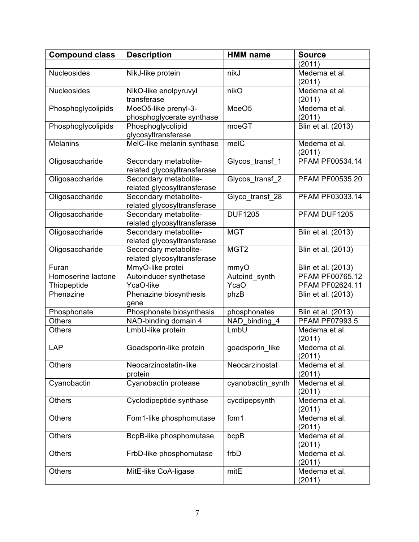| <b>Compound class</b> | <b>Description</b>          | <b>HMM</b> name   | <b>Source</b>         |
|-----------------------|-----------------------------|-------------------|-----------------------|
|                       |                             |                   | (2011)                |
| <b>Nucleosides</b>    | NikJ-like protein           | nikJ              | Medema et al.         |
|                       |                             |                   | (2011)                |
| <b>Nucleosides</b>    | NikO-like enolpyruvyl       | nikO              | Medema et al.         |
|                       | transferase                 |                   | (2011)                |
| Phosphoglycolipids    | MoeO5-like prenyl-3-        | MoeO <sub>5</sub> | Medema et al.         |
|                       | phosphoglycerate synthase   |                   | (2011)                |
| Phosphoglycolipids    | Phosphoglycolipid           | moeGT             | Blin et al. (2013)    |
|                       | glycosyltransferase         |                   |                       |
| <b>Melanins</b>       | MelC-like melanin synthase  | melC              | Medema et al.         |
|                       |                             |                   | (2011)                |
| Oligosaccharide       | Secondary metabolite-       | Glycos_transf_1   | PFAM PF00534.14       |
|                       | related glycosyltransferase |                   |                       |
| Oligosaccharide       | Secondary metabolite-       | Glycos_transf_2   | PFAM PF00535.20       |
|                       | related glycosyltransferase |                   |                       |
| Oligosaccharide       | Secondary metabolite-       | Glyco transf 28   | PFAM PF03033.14       |
|                       | related glycosyltransferase |                   |                       |
| Oligosaccharide       | Secondary metabolite-       | <b>DUF1205</b>    | PFAM DUF1205          |
|                       | related glycosyltransferase |                   |                       |
| Oligosaccharide       | Secondary metabolite-       | <b>MGT</b>        | Blin et al. (2013)    |
|                       | related glycosyltransferase |                   |                       |
| Oligosaccharide       | Secondary metabolite-       | MGT <sub>2</sub>  | Blin et al. (2013)    |
|                       | related glycosyltransferase |                   |                       |
| Furan                 | MmyO-like protei            | mmyO              | Blin et al. (2013)    |
| Homoserine lactone    | Autoinducer synthetase      | Autoind_synth     | PFAM PF00765.12       |
| Thiopeptide           | YcaO-like                   | YcaO              | PFAM PF02624.11       |
| Phenazine             | Phenazine biosynthesis      | phzB              | Blin et al. (2013)    |
|                       | gene                        |                   |                       |
| Phosphonate           | Phosphonate biosynthesis    | phosphonates      | Blin et al. (2013)    |
| <b>Others</b>         | NAD-binding domain 4        | NAD_binding_4     | <b>PFAM PF07993.5</b> |
| <b>Others</b>         | LmbU-like protein           | LmbU              | Medema et al.         |
|                       |                             |                   | (2011)                |
| LAP                   | Goadsporin-like protein     | goadsporin like   | Medema et al.         |
|                       |                             |                   | (2011)                |
| <b>Others</b>         | Neocarzinostatin-like       | Neocarzinostat    | Medema et al.         |
|                       | protein                     |                   | (2011)                |
| Cyanobactin           | Cyanobactin protease        | cyanobactin_synth | Medema et al.         |
|                       |                             |                   | (2011)                |
| <b>Others</b>         | Cyclodipeptide synthase     | cycdipepsynth     | Medema et al.         |
|                       |                             |                   | (2011)                |
| <b>Others</b>         | Fom1-like phosphomutase     | fom1              | Medema et al.         |
|                       |                             |                   | (2011)                |
| <b>Others</b>         | BcpB-like phosphomutase     | bcpB              | Medema et al.         |
|                       |                             |                   | (2011)                |
| Others                | FrbD-like phosphomutase     | frbD              | Medema et al.         |
|                       |                             |                   | (2011)                |
| Others                | MitE-like CoA-ligase        | mitE              | Medema et al.         |
|                       |                             |                   | (2011)                |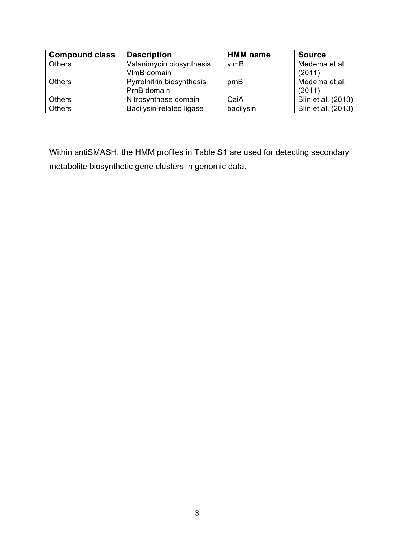| <b>Compound class</b> | <b>Description</b>        | <b>HMM</b> name   | <b>Source</b>      |
|-----------------------|---------------------------|-------------------|--------------------|
| <b>Others</b>         | Valanimycin biosynthesis  | $v$ <sub>mB</sub> | Medema et al.      |
|                       | VImB domain               |                   | (2011)             |
| <b>Others</b>         | Pyrrolnitrin biosynthesis | prnB              | Medema et al.      |
|                       | PrnB domain               |                   | (2011)             |
| <b>Others</b>         | Nitrosynthase domain      | CaiA              | Blin et al. (2013) |
| Others                | Bacilysin-related ligase  | bacilysin         | Blin et al. (2013) |

Within antiSMASH, the HMM profiles in Table S1 are used for detecting secondary metabolite biosynthetic gene clusters in genomic data.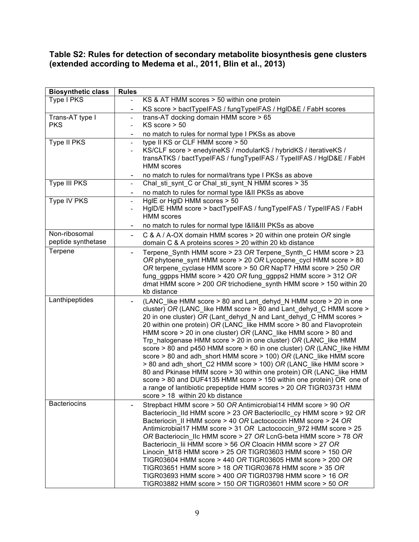#### **Table S2: Rules for detection of secondary metabolite biosynthesis gene clusters (extended according to Medema et al., 2011, Blin et al., 2013)**

| <b>Biosynthetic class</b> | <b>Rules</b>                 |                                                                                                                                             |
|---------------------------|------------------------------|---------------------------------------------------------------------------------------------------------------------------------------------|
| Type I PKS                |                              | KS & AT HMM scores > 50 within one protein                                                                                                  |
|                           | $\blacksquare$               | KS score > bactTypeIFAS / fungTypeIFAS / HgID&E / FabH scores                                                                               |
| Trans-AT type I           | $\blacksquare$               | trans-AT docking domain HMM score > 65                                                                                                      |
| <b>PKS</b>                | $\blacksquare$               | $KS$ score $> 50$                                                                                                                           |
|                           | $\overline{\phantom{a}}$     | no match to rules for normal type I PKSs as above                                                                                           |
| Type II PKS               | $\blacksquare$               | type II KS or CLF HMM score > 50                                                                                                            |
|                           | $\blacksquare$               | KS/CLF score > enedyineKS / modularKS / hybridKS / iterativeKS /                                                                            |
|                           |                              | transATKS / bactTypeIFAS / fungTypeIFAS / TypeIIFAS / HgID&E / FabH<br><b>HMM</b> scores                                                    |
|                           |                              |                                                                                                                                             |
| Type III PKS              | $\sim$                       | no match to rules for normal/trans type I PKSs as above<br>Chal_sti_synt_C or Chal_sti_synt_N HMM scores > 35                               |
|                           |                              |                                                                                                                                             |
| Type IV PKS               | $\blacksquare$               | no match to rules for normal type I&II PKSs as above<br>HgIE or HgID HMM scores > 50                                                        |
|                           | $\blacksquare$               | HgID/E HMM score > bactTypeIFAS / fungTypeIFAS / TypeIIFAS / FabH                                                                           |
|                           |                              | <b>HMM</b> scores                                                                                                                           |
|                           |                              | no match to rules for normal type I&II&III PKSs as above                                                                                    |
| Non-ribosomal             | ۰.                           | C & A / A-OX domain HMM scores > 20 within one protein OR single                                                                            |
| peptide synthetase        |                              | domain C & A proteins scores > 20 within 20 kb distance                                                                                     |
| Terpene                   | $\overline{\phantom{0}}$     | Terpene Synth HMM score > 23 OR Terpene Synth C HMM score > 23                                                                              |
|                           |                              | OR phytoene_synt HMM score > 20 OR Lycopene_cycl HMM score > 80                                                                             |
|                           |                              | OR terpene cyclase HMM score > 50 OR NapT7 HMM score > 250 OR                                                                               |
|                           |                              | fung_ggpps HMM score > 420 OR fung_ggpps2 HMM score > 312 OR                                                                                |
|                           |                              | dmat HMM score > 200 OR trichodiene_synth HMM score > 150 within 20                                                                         |
| Lanthipeptides            |                              | kb distance                                                                                                                                 |
|                           |                              | (LANC_like HMM score > 80 and Lant_dehyd_N HMM score > 20 in one<br>cluster) OR (LANC_like HMM score > 80 and Lant_dehyd_C HMM score >      |
|                           |                              | 20 in one cluster) OR (Lant_dehyd_N and Lant_dehyd_C HMM scores >                                                                           |
|                           |                              | 20 within one protein) OR (LANC like HMM score > 80 and Flavoprotein                                                                        |
|                           |                              | HMM score > 20 in one cluster) OR (LANC_like HMM score > 80 and                                                                             |
|                           |                              | Trp halogenase HMM score > 20 in one cluster) OR (LANC like HMM                                                                             |
|                           |                              | score > 80 and p450 HMM score > 60 in one cluster) OR (LANC like HMM                                                                        |
|                           |                              | score > 80 and adh_short HMM score > 100) OR (LANC_like HMM score                                                                           |
|                           |                              | > 80 and adh_short_C2 HMM score > 100) OR (LANC_like HMM score >                                                                            |
|                           |                              | 80 and Pkinase HMM score > 30 within one protein) OR (LANC like HMM<br>score > 80 and DUF4135 HMM score > 150 within one protein) OR one of |
|                           |                              | a range of lantibiotic prepeptide HMM scores > 20 OR TIGR03731 HMM                                                                          |
|                           |                              | score > 18 within 20 kb distance                                                                                                            |
| <b>Bacteriocins</b>       | $\qquad \qquad \blacksquare$ | Strepbact HMM score > 50 OR Antimicrobial14 HMM score > 90 OR                                                                               |
|                           |                              | Bacteriocin_IId HMM score > 23 OR BacteriocIIc_cy HMM score > 92 OR                                                                         |
|                           |                              | Bacteriocin II HMM score > 40 OR Lactococcin HMM score > 24 OR                                                                              |
|                           |                              | Antimicrobial17 HMM score > 31 OR Lactococcin 972 HMM score > 25                                                                            |
|                           |                              | OR Bacteriocin_IIc HMM score > 27 OR LcnG-beta HMM score > 78 OR                                                                            |
|                           |                              | Bacteriocin_lii HMM score > 56 OR Cloacin HMM score > 27 OR<br>Linocin_M18 HMM score > 25 OR TIGR03603 HMM score > 150 OR                   |
|                           |                              | TIGR03604 HMM score > 440 OR TIGR03605 HMM score > 200 OR                                                                                   |
|                           |                              | TIGR03651 HMM score > 18 OR TIGR03678 HMM score > 35 OR                                                                                     |
|                           |                              | TIGR03693 HMM score > 400 OR TIGR03798 HMM score > 16 OR                                                                                    |
|                           |                              | TIGR03882 HMM score > 150 OR TIGR03601 HMM score > 50 OR                                                                                    |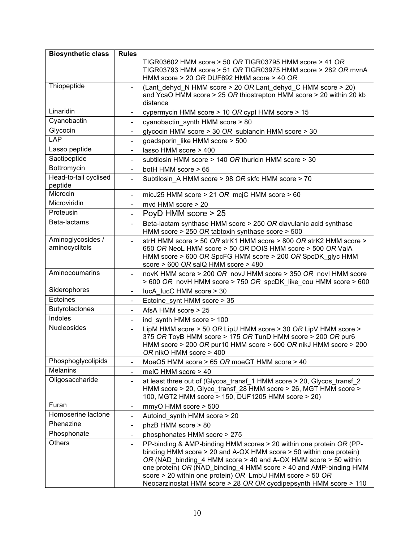| <b>Biosynthetic class</b>           | <b>Rules</b>                 |                                                                                                                                                                                                                                                                                                                                                                                                                    |
|-------------------------------------|------------------------------|--------------------------------------------------------------------------------------------------------------------------------------------------------------------------------------------------------------------------------------------------------------------------------------------------------------------------------------------------------------------------------------------------------------------|
|                                     |                              | TIGR03602 HMM score > 50 OR TIGR03795 HMM score > 41 OR<br>TIGR03793 HMM score > 51 OR TIGR03975 HMM score > 282 OR mvnA<br>HMM score > 20 OR DUF692 HMM score > 40 OR                                                                                                                                                                                                                                             |
| Thiopeptide                         | $\overline{\phantom{0}}$     | (Lant dehyd N HMM score > 20 OR Lant dehyd C HMM score > 20)<br>and YcaO HMM score > 25 OR thiostrepton HMM score > 20 within 20 kb<br>distance                                                                                                                                                                                                                                                                    |
| Linaridin                           | $\overline{\phantom{0}}$     | cypermycin HMM score > 10 OR cypl HMM score > 15                                                                                                                                                                                                                                                                                                                                                                   |
| Cyanobactin                         |                              | cyanobactin synth HMM score > 80                                                                                                                                                                                                                                                                                                                                                                                   |
| Glycocin                            | -                            | glycocin HMM score > 30 OR sublancin HMM score > 30                                                                                                                                                                                                                                                                                                                                                                |
| <b>LAP</b>                          | $\blacksquare$               | goadsporin like HMM score > 500                                                                                                                                                                                                                                                                                                                                                                                    |
| Lasso peptide                       | $\overline{\phantom{0}}$     | lasso HMM score > 400                                                                                                                                                                                                                                                                                                                                                                                              |
| Sactipeptide                        |                              | subtilosin HMM score > 140 OR thuricin HMM score > 30                                                                                                                                                                                                                                                                                                                                                              |
| Bottromycin                         | $\overline{\phantom{a}}$     | botH HMM score > 65                                                                                                                                                                                                                                                                                                                                                                                                |
| Head-to-tail cyclised<br>peptide    | $\overline{\phantom{0}}$     | Subtilosin A HMM score > 98 OR skfc HMM score > 70                                                                                                                                                                                                                                                                                                                                                                 |
| Microcin                            | $\overline{\phantom{a}}$     | micJ25 HMM score $> 21$ OR mcjC HMM score $> 60$                                                                                                                                                                                                                                                                                                                                                                   |
| Microviridin                        |                              | mvd HMM score > 20                                                                                                                                                                                                                                                                                                                                                                                                 |
| Proteusin                           | $\overline{\phantom{a}}$     | PoyD HMM score > 25                                                                                                                                                                                                                                                                                                                                                                                                |
| Beta-lactams                        | $\overline{\phantom{0}}$     | Beta-lactam synthase HMM score > 250 OR clavulanic acid synthase<br>HMM score > 250 OR tabtoxin synthase score > 500                                                                                                                                                                                                                                                                                               |
| Aminoglycosides /<br>aminocyclitols | $\blacksquare$               | strH HMM score > 50 OR strK1 HMM score > 800 OR strK2 HMM score ><br>650 OR NeoL HMM score > 50 OR DOIS HMM score > 500 OR ValA<br>HMM score > 600 OR SpcFG HMM score > 200 OR SpcDK_glyc HMM<br>score > 600 OR salQ HMM score > 480                                                                                                                                                                               |
| Aminocoumarins                      | $\overline{\phantom{a}}$     | novK HMM score > 200 OR novJ HMM score > 350 OR novI HMM score<br>> 600 OR novH HMM score > 750 OR spcDK_like_cou HMM score > 600                                                                                                                                                                                                                                                                                  |
| Siderophores                        |                              | lucA lucC HMM score > 30                                                                                                                                                                                                                                                                                                                                                                                           |
| Ectoines                            |                              | Ectoine_synt HMM score > 35                                                                                                                                                                                                                                                                                                                                                                                        |
| <b>Butyrolactones</b>               | $\overline{\phantom{0}}$     | AfsA HMM score $> 25$                                                                                                                                                                                                                                                                                                                                                                                              |
| Indoles                             |                              | ind_synth HMM score > 100                                                                                                                                                                                                                                                                                                                                                                                          |
| Nucleosides                         | $\overline{\phantom{0}}$     | LipM HMM score > 50 OR LipU HMM score > 30 OR LipV HMM score ><br>375 OR ToyB HMM score > 175 OR TunD HMM score > 200 OR pur6<br>HMM score > 200 OR pur10 HMM score > 600 OR nikJ HMM score > 200<br>OR nikO HMM score > 400                                                                                                                                                                                       |
| Phosphoglycolipids                  |                              | MoeO5 HMM score > 65 OR moeGT HMM score > 40                                                                                                                                                                                                                                                                                                                                                                       |
| <b>Melanins</b>                     | -                            | melC HMM score > 40                                                                                                                                                                                                                                                                                                                                                                                                |
| Oligosaccharide                     |                              | at least three out of (Glycos_transf_1 HMM score > 20, Glycos_transf_2<br>HMM score > 20, Glyco transf 28 HMM score > 26, MGT HMM score ><br>100, MGT2 HMM score > 150, DUF1205 HMM score > 20)                                                                                                                                                                                                                    |
| Furan                               | $\qquad \qquad \blacksquare$ | mmyO HMM score > 500                                                                                                                                                                                                                                                                                                                                                                                               |
| Homoserine lactone                  | $\overline{\phantom{a}}$     | Autoind_synth HMM score > 20                                                                                                                                                                                                                                                                                                                                                                                       |
| Phenazine                           | $\overline{\phantom{0}}$     | phzB HMM score > 80                                                                                                                                                                                                                                                                                                                                                                                                |
| Phosphonate                         |                              | phosphonates HMM score > 275                                                                                                                                                                                                                                                                                                                                                                                       |
| <b>Others</b>                       |                              | PP-binding & AMP-binding HMM scores > 20 within one protein OR (PP-<br>binding HMM score > 20 and A-OX HMM score > 50 within one protein)<br>OR (NAD_binding_4 HMM score > 40 and A-OX HMM score > 50 within<br>one protein) OR (NAD_binding_4 HMM score > 40 and AMP-binding HMM<br>score > 20 within one protein) OR LmbU HMM score > 50 OR<br>Neocarzinostat HMM score > 28 OR OR cycdipepsynth HMM score > 110 |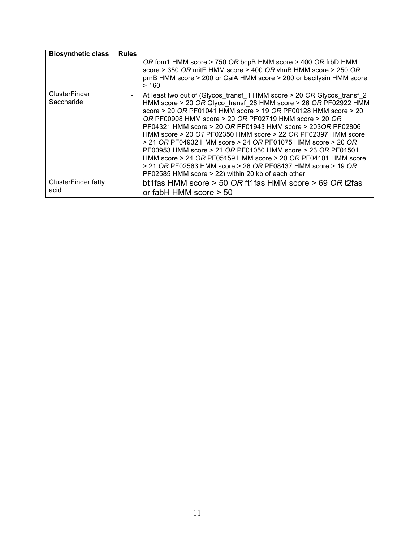| <b>Biosynthetic class</b>          | <b>Rules</b> |                                                                                                                                                                                                                                                                                                                                                                                                                                                                                                                                                                                                                                                                                                                                           |
|------------------------------------|--------------|-------------------------------------------------------------------------------------------------------------------------------------------------------------------------------------------------------------------------------------------------------------------------------------------------------------------------------------------------------------------------------------------------------------------------------------------------------------------------------------------------------------------------------------------------------------------------------------------------------------------------------------------------------------------------------------------------------------------------------------------|
|                                    |              | OR fom1 HMM score > 750 OR bcpB HMM score > 400 OR frbD HMM<br>score > 350 OR mitE HMM score > 400 OR vlmB HMM score > 250 OR<br>prnB HMM score > 200 or CaiA HMM score > 200 or bacilysin HMM score<br>>160                                                                                                                                                                                                                                                                                                                                                                                                                                                                                                                              |
| ClusterFinder<br>Saccharide        |              | At least two out of (Glycos transf 1 HMM score > 20 OR Glycos transf 2<br>HMM score > 20 OR Glyco transf 28 HMM score > 26 OR PF02922 HMM<br>score > 20 OR PF01041 HMM score > 19 OR PF00128 HMM score > 20<br>OR PF00908 HMM score $> 20$ OR PF02719 HMM score $> 20$ OR<br>PF04321 HMM score > 20 OR PF01943 HMM score > 203OR PF02806<br>HMM score > 20 O1 PF02350 HMM score > 22 OR PF02397 HMM score<br>$>$ 21 OR PF04932 HMM score $>$ 24 OR PF01075 HMM score $>$ 20 OR<br>PF00953 HMM score > 21 OR PF01050 HMM score > 23 OR PF01501<br>HMM score > 24 OR PF05159 HMM score > 20 OR PF04101 HMM score<br>$>$ 21 OR PF02563 HMM score $>$ 26 OR PF08437 HMM score $>$ 19 OR<br>PF02585 HMM score > 22) within 20 kb of each other |
| <b>ClusterFinder fatty</b><br>acid |              | bt1fas HMM score > 50 OR ft1fas HMM score > 69 OR t2fas<br>or fabH HMM score $>$ 50                                                                                                                                                                                                                                                                                                                                                                                                                                                                                                                                                                                                                                                       |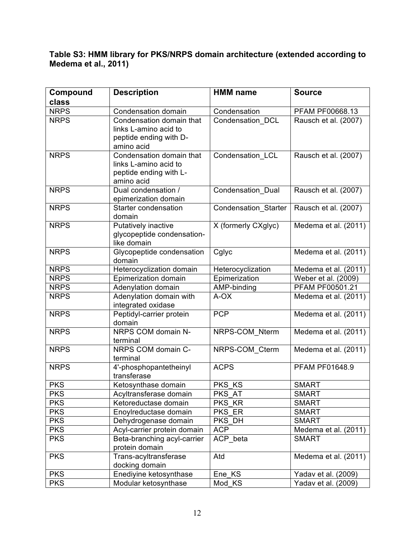### **Table S3: HMM library for PKS/NRPS domain architecture (extended according to Medema et al., 2011)**

| Compound    | <b>Description</b>                                                                        | <b>HMM</b> name             | <b>Source</b>        |
|-------------|-------------------------------------------------------------------------------------------|-----------------------------|----------------------|
| class       |                                                                                           |                             |                      |
| <b>NRPS</b> | Condensation domain                                                                       | Condensation                | PFAM PF00668.13      |
| <b>NRPS</b> | Condensation domain that<br>links L-amino acid to<br>peptide ending with D-<br>amino acid | Condensation_DCL            | Rausch et al. (2007) |
| <b>NRPS</b> | Condensation domain that<br>links L-amino acid to<br>peptide ending with L-<br>amino acid | Condensation LCL            | Rausch et al. (2007) |
| <b>NRPS</b> | Dual condensation /<br>epimerization domain                                               | Condensation_Dual           | Rausch et al. (2007) |
| <b>NRPS</b> | Starter condensation<br>domain                                                            | <b>Condensation Starter</b> | Rausch et al. (2007) |
| <b>NRPS</b> | Putatively inactive<br>glycopeptide condensation-<br>like domain                          | X (formerly CXglyc)         | Medema et al. (2011) |
| <b>NRPS</b> | Glycopeptide condensation<br>domain                                                       | Cglyc                       | Medema et al. (2011) |
| <b>NRPS</b> | Heterocyclization domain                                                                  | Heterocyclization           | Medema et al. (2011) |
| <b>NRPS</b> | Epimerization domain                                                                      | Epimerization               | Weber et al. (2009)  |
| <b>NRPS</b> | Adenylation domain                                                                        | AMP-binding                 | PFAM PF00501.21      |
| <b>NRPS</b> | Adenylation domain with<br>integrated oxidase                                             | A-OX                        | Medema et al. (2011) |
| <b>NRPS</b> | Peptidyl-carrier protein<br>domain                                                        | <b>PCP</b>                  | Medema et al. (2011) |
| <b>NRPS</b> | NRPS COM domain N-<br>terminal                                                            | NRPS-COM Nterm              | Medema et al. (2011) |
| <b>NRPS</b> | NRPS COM domain C-<br>terminal                                                            | NRPS-COM_Cterm              | Medema et al. (2011) |
| <b>NRPS</b> | 4'-phosphopantetheinyl<br>transferase                                                     | <b>ACPS</b>                 | PFAM PF01648.9       |
| <b>PKS</b>  | Ketosynthase domain                                                                       | PKS KS                      | <b>SMART</b>         |
| <b>PKS</b>  | Acyltransferase domain                                                                    | PKS_AT                      | <b>SMART</b>         |
| <b>PKS</b>  | Ketoreductase domain                                                                      | PKS KR                      | <b>SMART</b>         |
| <b>PKS</b>  | Enoylreductase domain                                                                     | PKS ER                      | <b>SMART</b>         |
| <b>PKS</b>  | Dehydrogenase domain                                                                      | PKS DH                      | <b>SMART</b>         |
| <b>PKS</b>  | Acyl-carrier protein domain                                                               | <b>ACP</b>                  | Medema et al. (2011) |
| <b>PKS</b>  | Beta-branching acyl-carrier<br>protein domain                                             | ACP_beta                    | <b>SMART</b>         |
| <b>PKS</b>  | Trans-acyltransferase<br>docking domain                                                   | Atd                         | Medema et al. (2011) |
| <b>PKS</b>  | Enediyine ketosynthase                                                                    | Ene KS                      | Yadav et al. (2009)  |
| <b>PKS</b>  | Modular ketosynthase                                                                      | Mod_KS                      | Yadav et al. (2009)  |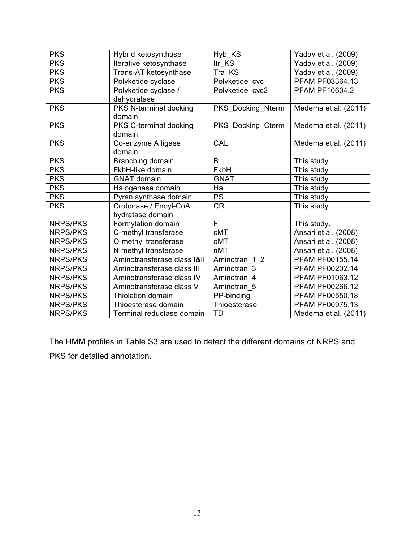| <b>PKS</b>      | Hybrid ketosynthase         | Hyb_KS                      | Yadav et al. (2009)  |
|-----------------|-----------------------------|-----------------------------|----------------------|
| <b>PKS</b>      | Iterative ketosynthase      | Itr KS                      | Yadav et al. (2009)  |
| <b>PKS</b>      | Trans-AT ketosynthase       | Tra KS                      | Yadav et al. (2009)  |
| <b>PKS</b>      | Polyketide cyclase          | Polyketide_cyc              | PFAM PF03364.13      |
| <b>PKS</b>      | Polyketide cyclase /        | Polyketide cyc2             | PFAM PF10604.2       |
|                 | dehydratase                 |                             |                      |
| <b>PKS</b>      | PKS N-terminal docking      | PKS_Docking_Nterm           | Medema et al. (2011) |
|                 | domain                      |                             |                      |
| <b>PKS</b>      | PKS C-terminal docking      | PKS_Docking_Cterm           | Medema et al. (2011) |
|                 | domain                      |                             |                      |
| <b>PKS</b>      | Co-enzyme A ligase          | CAL                         | Medema et al. (2011) |
|                 | domain                      |                             |                      |
| <b>PKS</b>      | Branching domain            | B                           | This study.          |
| <b>PKS</b>      | FkbH-like domain            | FkbH                        | This study.          |
| <b>PKS</b>      | <b>GNAT domain</b>          | <b>GNAT</b>                 | This study.          |
| <b>PKS</b>      | Halogenase domain           | Hal                         | This study.          |
| <b>PKS</b>      | Pyran synthase domain       | <b>PS</b>                   | This study.          |
| <b>PKS</b>      | Crotonase / Enoyl-CoA       | <b>CR</b>                   | This study.          |
|                 | hydratase domain            |                             |                      |
| <b>NRPS/PKS</b> | Formylation domain          | F                           | This study.          |
| <b>NRPS/PKS</b> | C-methyl transferase        | <b>cMT</b>                  | Ansari et al. (2008) |
| <b>NRPS/PKS</b> | O-methyl transferase        | oMT                         | Ansari et al. (2008) |
| <b>NRPS/PKS</b> | N-methyl transferase        | nMT                         | Ansari et al. (2008) |
| <b>NRPS/PKS</b> | Aminotransferase class I&II | Aminotran<br>1 <sub>2</sub> | PFAM PF00155.14      |
| <b>NRPS/PKS</b> | Aminotransferase class III  | Aminotran 3                 | PFAM PF00202.14      |
| <b>NRPS/PKS</b> | Aminotransferase class IV   | Aminotran 4                 | PFAM PF01063.12      |
| <b>NRPS/PKS</b> | Aminotransferase class V    | Aminotran 5                 | PFAM PF00266.12      |
| <b>NRPS/PKS</b> | <b>Thiolation domain</b>    | PP-binding                  | PFAM PF00550.18      |
| <b>NRPS/PKS</b> | Thioesterase domain         | Thioesterase                | PFAM PF00975.13      |
| <b>NRPS/PKS</b> | Terminal reductase domain   | TD                          | Medema et al. (2011) |

The HMM profiles in Table S3 are used to detect the different domains of NRPS and PKS for detailed annotation.